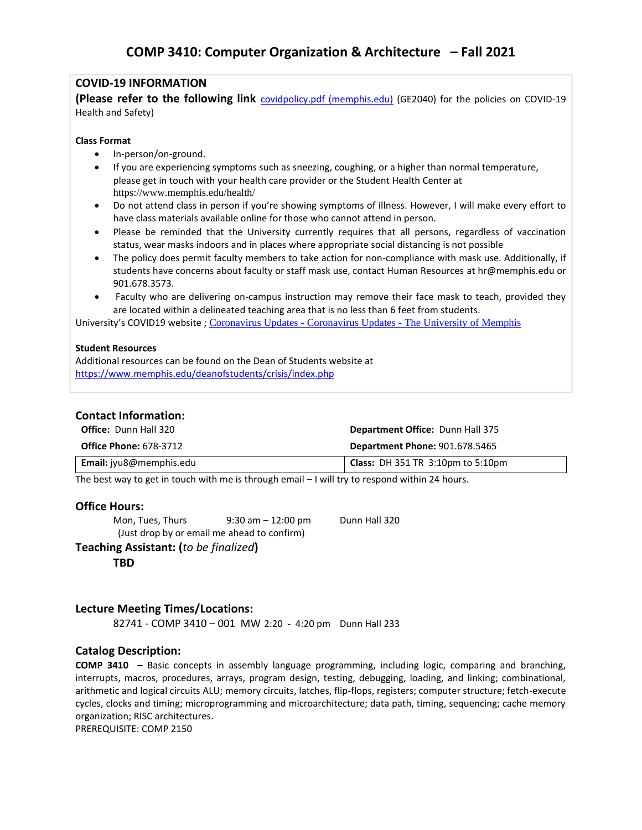# **COVID-19 INFORMATION**

**(Please refer to the following link** [covidpolicy.pdf \(memphis.edu\)](https://www.memphis.edu/coronavirusupdates/pdfs/covidpolicy.pdf) (GE2040) for the policies on COVID-19 Health and Safety)

#### **Class Format**

- In-person/on-ground.
- If you are experiencing symptoms such as sneezing, coughing, or a higher than normal temperature, please get in touch with your health care provider or the Student Health Center at <https://www.memphis.edu/health/>
- Do not attend class in person if you're showing symptoms of illness. However, I will make every effort to have class materials available online for those who cannot attend in person.
- Please be reminded that the University currently requires that all persons, regardless of vaccination status, wear masks indoors and in places where appropriate social distancing is not possible
- The policy does permit faculty members to take action for non-compliance with mask use. Additionally, if students have concerns about faculty or staff mask use, contact Human Resources at [hr@memphis.edu](mailto:hr@memphis.edu) or 901.678.3573.
- Faculty who are delivering on-campus instruction may remove their face mask to teach, provided they are located within a delineated teaching area that is no less than 6 feet from students.

University's COVID19 website ; Coronavirus Updates - Coronavirus Updates - [The University of Memphis](https://www.memphis.edu/coronavirusupdates/)

#### **Student Resources**

Additional resources can be found on the Dean of Students website at <https://www.memphis.edu/deanofstudents/crisis/index.php>

## **Contact Information:**

| <b>Office:</b> Dunn Hall 320   | <b>Department Office: Dunn Hall 375</b>                      |
|--------------------------------|--------------------------------------------------------------|
| <b>Office Phone: 678-3712</b>  | <b>Department Phone: 901.678.5465</b>                        |
| <b>Email:</b> jyu8@memphis.edu | <b>Class:</b> DH 351 TR $3:10 \text{pm}$ to $5:10 \text{pm}$ |

The best way to get in touch with me is through email – I will try to respond within 24 hours.

## **Office Hours:**

Mon, Tues, Thurs 9:30 am - 12:00 pm Dunn Hall 320 (Just drop by or email me ahead to confirm)

**Teaching Assistant: (***to be finalized***)**

**TBD**

## **Lecture Meeting Times/Locations:**

82741 - COMP 3410 – 001 MW 2:20 - 4:20 pm Dunn Hall 233

# **Catalog Description:**

**COMP 3410 –** Basic concepts in assembly language programming, including logic, comparing and branching, interrupts, macros, procedures, arrays, program design, testing, debugging, loading, and linking; combinational, arithmetic and logical circuits ALU; memory circuits, latches, flip-flops, registers; computer structure; fetch-execute cycles, clocks and timing; microprogramming and microarchitecture; data path, timing, sequencing; cache memory organization; RISC architectures.

PREREQUISITE: COMP 2150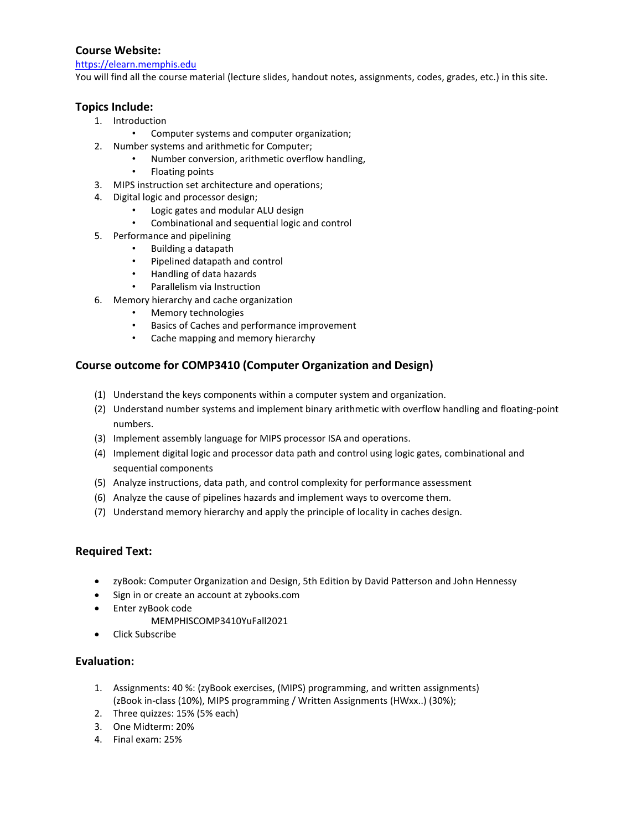# **Course Website:**

[https://elearn.memphis.edu](https://elearn.memphis.edu/)

You will find all the course material (lecture slides, handout notes, assignments, codes, grades, etc.) in this site.

## **Topics Include:**

- 1. Introduction
	- Computer systems and computer organization;
- 2. Number systems and arithmetic for Computer;
	- Number conversion, arithmetic overflow handling,
	- Floating points
- 3. MIPS instruction set architecture and operations;
- 4. Digital logic and processor design;
	- Logic gates and modular ALU design
	- Combinational and sequential logic and control
- 5. Performance and pipelining
	- Building a datapath
	- Pipelined datapath and control
	- Handling of data hazards
	- Parallelism via Instruction
- 6. Memory hierarchy and cache organization
	- Memory technologies
	- Basics of Caches and performance improvement
	- Cache mapping and memory hierarchy

# **Course outcome for COMP3410 (Computer Organization and Design)**

- (1) Understand the keys components within a computer system and organization.
- (2) Understand number systems and implement binary arithmetic with overflow handling and floating-point numbers.
- (3) Implement assembly language for MIPS processor ISA and operations.
- (4) Implement digital logic and processor data path and control using logic gates, combinational and sequential components
- (5) Analyze instructions, data path, and control complexity for performance assessment
- (6) Analyze the cause of pipelines hazards and implement ways to overcome them.
- (7) Understand memory hierarchy and apply the principle of locality in caches design.

## **Required Text:**

- zyBook: Computer Organization and Design, 5th Edition by David Patterson and John Hennessy
- Sign in or create an account at zybooks.com
- Enter zyBook code
	- MEMPHISCOMP3410YuFall2021
- Click Subscribe

## **Evaluation:**

- 1. Assignments: 40 %: (zyBook exercises, (MIPS) programming, and written assignments) (zBook in-class (10%), MIPS programming / Written Assignments (HWxx..) (30%);
- 2. Three quizzes: 15% (5% each)
- 3. One Midterm: 20%
- 4. Final exam: 25%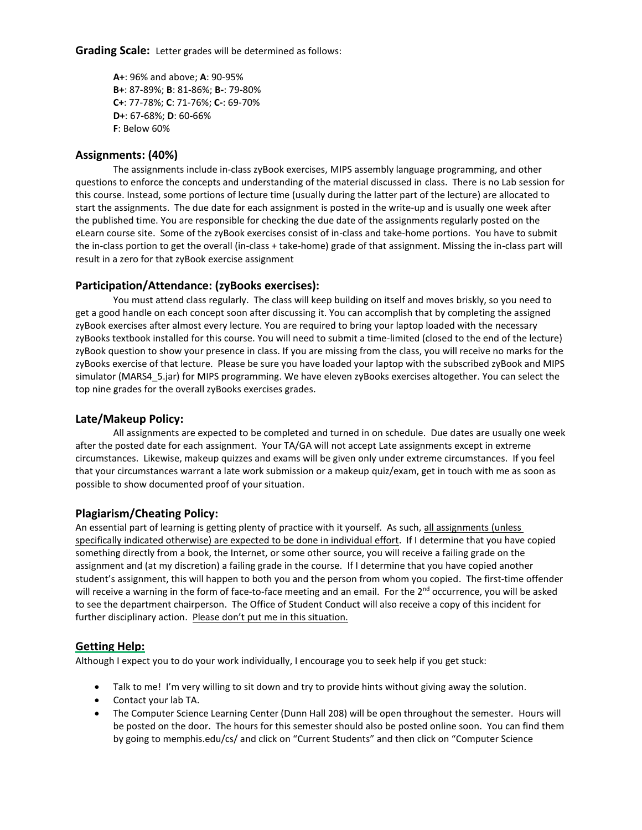**Grading Scale:** Letter grades will be determined as follows:

**A+**: 96% and above; **A**: 90-95% **B+**: 87-89%; **B**: 81-86%; **B-**: 79-80% **C+**: 77-78%; **C**: 71-76%; **C-**: 69-70% **D+**: 67-68%; **D**: 60-66% **F**: Below 60%

#### **Assignments: (40%)**

The assignments include in-class zyBook exercises, MIPS assembly language programming, and other questions to enforce the concepts and understanding of the material discussed in class. There is no Lab session for this course. Instead, some portions of lecture time (usually during the latter part of the lecture) are allocated to start the assignments. The due date for each assignment is posted in the write-up and is usually one week after the published time. You are responsible for checking the due date of the assignments regularly posted on the eLearn course site. Some of the zyBook exercises consist of in-class and take-home portions. You have to submit the in-class portion to get the overall (in-class + take-home) grade of that assignment. Missing the in-class part will result in a zero for that zyBook exercise assignment

#### **Participation/Attendance: (zyBooks exercises):**

You must attend class regularly. The class will keep building on itself and moves briskly, so you need to get a good handle on each concept soon after discussing it. You can accomplish that by completing the assigned zyBook exercises after almost every lecture. You are required to bring your laptop loaded with the necessary zyBooks textbook installed for this course. You will need to submit a time-limited (closed to the end of the lecture) zyBook question to show your presence in class. If you are missing from the class, you will receive no marks for the zyBooks exercise of that lecture. Please be sure you have loaded your laptop with the subscribed zyBook and MIPS simulator (MARS4\_5.jar) for MIPS programming. We have eleven zyBooks exercises altogether. You can select the top nine grades for the overall zyBooks exercises grades.

#### **Late/Makeup Policy:**

All assignments are expected to be completed and turned in on schedule. Due dates are usually one week after the posted date for each assignment. Your TA/GA will not accept Late assignments except in extreme circumstances. Likewise, makeup quizzes and exams will be given only under extreme circumstances. If you feel that your circumstances warrant a late work submission or a makeup quiz/exam, get in touch with me as soon as possible to show documented proof of your situation.

## **Plagiarism/Cheating Policy:**

An essential part of learning is getting plenty of practice with it yourself. As such, all assignments (unless specifically indicated otherwise) are expected to be done in individual effort. If I determine that you have copied something directly from a book, the Internet, or some other source, you will receive a failing grade on the assignment and (at my discretion) a failing grade in the course. If I determine that you have copied another student's assignment, this will happen to both you and the person from whom you copied. The first-time offender will receive a warning in the form of face-to-face meeting and an email. For the  $2^{nd}$  occurrence, you will be asked to see the department chairperson. The Office of Student Conduct will also receive a copy of this incident for further disciplinary action. Please don't put me in this situation.

## **Getting Help:**

Although I expect you to do your work individually, I encourage you to seek help if you get stuck:

- Talk to me! I'm very willing to sit down and try to provide hints without giving away the solution.
- Contact your lab TA.
- The Computer Science Learning Center (Dunn Hall 208) will be open throughout the semester. Hours will be posted on the door. The hours for this semester should also be posted online soon. You can find them by going to memphis.edu/cs/ and click on "Current Students" and then click on "Computer Science